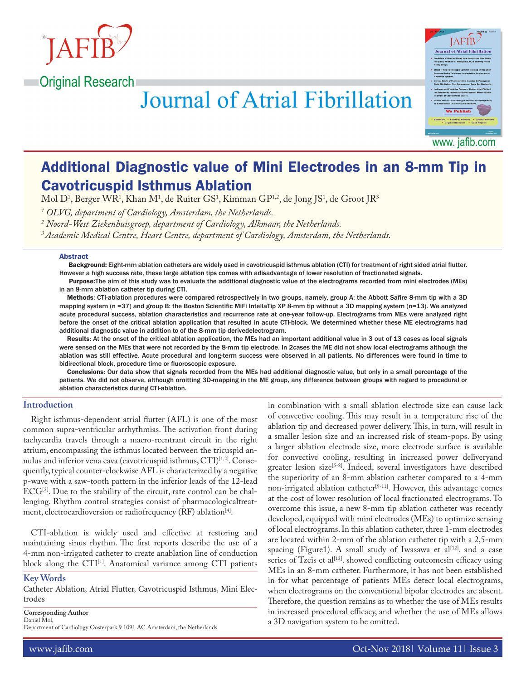

# **Journal of Atrial Fibrillation**



www. jafib.com

# Additional Diagnostic value of Mini Electrodes in an 8-mm Tip in Cavotricuspid Isthmus Ablation

Mol D<sup>1</sup>, Berger WR<sup>1</sup>, Khan M<sup>1</sup>, de Ruiter GS<sup>1</sup>, Kimman GP<sup>1,2</sup>, de Jong JS<sup>1</sup>, de Groot JR<sup>3</sup>

*1 OLVG, department of Cardiology, Amsterdam, the Netherlands.*

*2 Noord-West Ziekenhuisgroep, department of Cardiology, Alkmaar, the Netherlands.*

*3 Academic Medical Centre, Heart Centre, department of Cardiology, Amsterdam, the Netherlands.*

#### Abstract

 Background: Eight-mm ablation catheters are widely used in cavotricuspid isthmus ablation (CTI) for treatment of right sided atrial flutter. However a high success rate, these large ablation tips comes with adisadvantage of lower resolution of fractionated signals.

 Purpose:The aim of this study was to evaluate the additional diagnostic value of the electrograms recorded from mini electrodes (MEs) in an 8-mm ablation catheter tip during CTI.

Methods: CTI-ablation procedures were compared retrospectively in two groups, namely, group A: the Abbott Safire 8-mm tip with a 3D mapping system (n =37) and group B: the Boston Scientific MiFi IntellaTip XP 8-mm tip without a 3D mapping system (n=13). We analyzed acute procedural success, ablation characteristics and recurrence rate at one-year follow-up. Electrograms from MEs were analyzed right before the onset of the critical ablation application that resulted in acute CTI-block. We determined whether these ME electrograms had additional diagnostic value in addition to of the 8-mm tip derivedelectrogram.

Results: At the onset of the critical ablation application, the MEs had an important additional value in 3 out of 13 cases as local signals were sensed on the MEs that were not recorded by the 8-mm tip electrode. In 2cases the ME did not show local electrograms although the ablation was still effective. Acute procedural and long-term success were observed in all patients. No differences were found in time to bidirectional block, procedure time or fluoroscopic exposure.

Conclusions: Our data show that signals recorded from the MEs had additional diagnostic value, but only in a small percentage of the patients. We did not observe, although omitting 3D-mapping in the ME group, any difference between groups with regard to procedural or ablation characteristics during CTI-ablation.

# **Introduction**

Right isthmus-dependent atrial flutter (AFL) is one of the most common supra-ventricular arrhythmias. The activation front during tachycardia travels through a macro-reentrant circuit in the right atrium, encompassing the isthmus located between the tricuspid annulus and inferior vena cava (cavotricuspid isthmus, CTI)<sup>[1,2]</sup>. Consequently, typical counter-clockwise AFL is characterized by a negative p-wave with a saw-tooth pattern in the inferior leads of the 12-lead ECG[3]. Due to the stability of the circuit, rate control can be challenging. Rhythm control strategies consist of pharmacologicaltreatment, electrocardioversion or radiofrequency (RF) ablation<sup>[4]</sup>.

CTI-ablation is widely used and effective at restoring and maintaining sinus rhythm. The first reports describe the use of a 4-mm non-irrigated catheter to create anablation line of conduction block along the CTI<sup>[1]</sup>. Anatomical variance among CTI patients

#### **Key Words**

Catheter Ablation, Atrial Flutter, Cavotricuspid Isthmus, Mini Electrodes

**Corresponding Author**

Daniël Mol, Department of Cardiology Oosterpark 9 1091 AC Amsterdam, the Netherlands in combination with a small ablation electrode size can cause lack of convective cooling. This may result in a temperature rise of the ablation tip and decreased power delivery. This, in turn, will result in a smaller lesion size and an increased risk of steam-pops. By using a larger ablation electrode size, more electrode surface is available for convective cooling, resulting in increased power deliveryand greater lesion size<sup>[5-8]</sup>. Indeed, several investigators have described the superiority of an 8-mm ablation catheter compared to a 4-mm non-irrigated ablation catheter<sup>[9-11]</sup>. However, this advantage comes at the cost of lower resolution of local fractionated electrograms. To overcome this issue, a new 8-mm tip ablation catheter was recently developed, equipped with mini electrodes (MEs) to optimize sensing of local electrograms. In this ablation catheter, three 1-mm electrodes are located within 2-mm of the ablation catheter tip with a 2,5-mm spacing (Figure1). A small study of Iwasawa et al<sup>[12]</sup>. and a case series of Tzeis et al<sup>[13]</sup>. showed conflicting outcomesin efficacy using MEs in an 8-mm catheter. Furthermore, it has not been established in for what percentage of patients MEs detect local electrograms, when electrograms on the conventional bipolar electrodes are absent. Therefore, the question remains as to whether the use of MEs results in increased procedural efficacy, and whether the use of MEs allows a 3D navigation system to be omitted.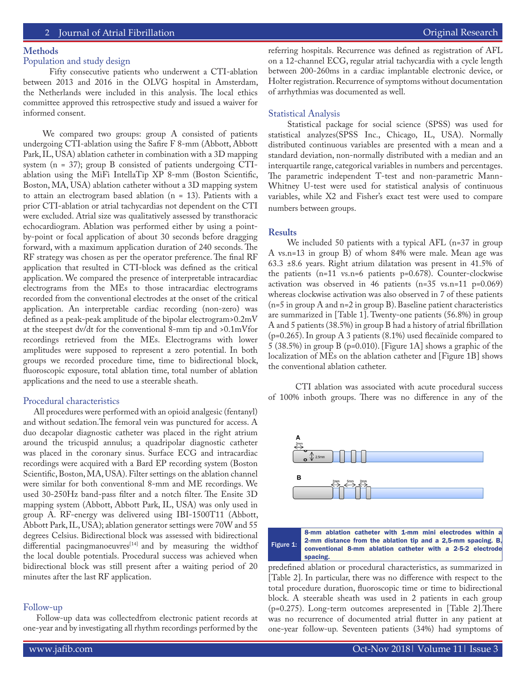# **Methods**

# Population and study design

 Fifty consecutive patients who underwent a CTI-ablation between 2013 and 2016 in the OLVG hospital in Amsterdam, the Netherlands were included in this analysis. The local ethics committee approved this retrospective study and issued a waiver for informed consent.

 We compared two groups: group A consisted of patients undergoing CTI-ablation using the Safire F 8-mm (Abbott, Abbott Park, IL, USA) ablation catheter in combination with a 3D mapping system (n = 37); group B consisted of patients undergoing CTIablation using the MiFi IntellaTip XP 8-mm (Boston Scientific, Boston, MA, USA) ablation catheter without a 3D mapping system to attain an electrogram based ablation (n = 13). Patients with a prior CTI-ablation or atrial tachycardias not dependent on the CTI were excluded. Atrial size was qualitatively assessed by transthoracic echocardiogram. Ablation was performed either by using a pointby-point or focal application of about 30 seconds before dragging forward, with a maximum application duration of 240 seconds. The RF strategy was chosen as per the operator preference. The final RF application that resulted in CTI-block was defined as the critical application. We compared the presence of interpretable intracardiac electrograms from the MEs to those intracardiac electrograms recorded from the conventional electrodes at the onset of the critical application. An interpretable cardiac recording (non-zero) was defined as a peak-peak amplitude of the bipolar electrogram>0.2mV at the steepest dv/dt for the conventional 8-mm tip and >0.1mVfor recordings retrieved from the MEs. Electrograms with lower amplitudes were supposed to represent a zero potential. In both groups we recorded procedure time, time to bidirectional block, fluoroscopic exposure, total ablation time, total number of ablation applications and the need to use a steerable sheath.

#### Procedural characteristics

 All procedures were performed with an opioid analgesic (fentanyl) and without sedation.The femoral vein was punctured for access. A duo decapolar diagnostic catheter was placed in the right atrium around the tricuspid annulus; a quadripolar diagnostic catheter was placed in the coronary sinus. Surface ECG and intracardiac recordings were acquired with a Bard EP recording system (Boston Scientific, Boston, MA, USA). Filter settings on the ablation channel were similar for both conventional 8-mm and ME recordings. We used 30-250Hz band-pass filter and a notch filter. The Ensite 3D mapping system (Abbott, Abbott Park, IL, USA) was only used in group A. RF-energy was delivered using IBI-1500T11 (Abbott, Abbott Park, IL, USA); ablation generator settings were 70W and 55 degrees Celsius. Bidirectional block was assessed with bidirectional differential pacingmanoeuvres $[14]$  and by measuring the widthof the local double potentials. Procedural success was achieved when bidirectional block was still present after a waiting period of 20 minutes after the last RF application.

# Follow-up

 Follow-up data was collectedfrom electronic patient records at one-year and by investigating all rhythm recordings performed by the referring hospitals. Recurrence was defined as registration of AFL on a 12-channel ECG, regular atrial tachycardia with a cycle length between 200-260ms in a cardiac implantable electronic device, or Holter registration. Recurrence of symptoms without documentation of arrhythmias was documented as well.

#### Statistical Analysis

 Statistical package for social science (SPSS) was used for statistical analyzes(SPSS Inc., Chicago, IL, USA). Normally distributed continuous variables are presented with a mean and a standard deviation, non-normally distributed with a median and an interquartile range, categorical variables in numbers and percentages. The parametric independent T-test and non-parametric Mann-Whitney U-test were used for statistical analysis of continuous variables, while X2 and Fisher's exact test were used to compare numbers between groups.

# **Results**

 We included 50 patients with a typical AFL (n=37 in group A vs.n=13 in group B) of whom 84% were male. Mean age was 63.3 ±8.6 years. Right atrium dilatation was present in 41.5% of the patients (n=11 vs.n=6 patients p=0.678). Counter-clockwise activation was observed in 46 patients (n=35 vs.n=11 p=0.069) whereas clockwise activation was also observed in 7 of these patients  $(n=5$  in group A and n=2 in group B). Baseline patient characteristics are summarized in [Table 1]. Twenty-one patients (56.8%) in group A and 5 patients (38.5%) in group B had a history of atrial fibrillation (p=0.265). In group A 3 patients (8.1%) used flecaïnide compared to 5 (38.5%) in group B (p=0.010). [Figure 1A] shows a graphic of the localization of MEs on the ablation catheter and [Figure 1B] shows the conventional ablation catheter.

 CTI ablation was associated with acute procedural success of 100% inboth groups. There was no difference in any of the



predefined ablation or procedural characteristics, as summarized in [Table 2]. In particular, there was no difference with respect to the total procedure duration, fluoroscopic time or time to bidirectional block. A steerable sheath was used in 2 patients in each group (p=0.275). Long-term outcomes arepresented in [Table 2].There was no recurrence of documented atrial flutter in any patient at one-year follow-up. Seventeen patients (34%) had symptoms of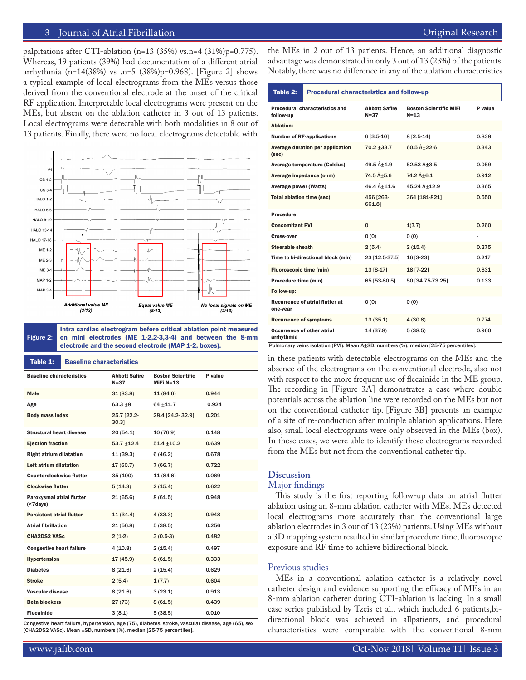# 3 Journal of Atrial Fibrillation **Community** Community Community Community Community Community Community Community

palpitations after CTI-ablation (n=13 (35%) vs.n=4 (31%)p=0.775). Whereas, 19 patients (39%) had documentation of a different atrial arrhythmia (n=14(38%) vs .n=5 (38%)p=0.968). [Figure 2] shows a typical example of local electrograms from the MEs versus those derived from the conventional electrode at the onset of the critical RF application. Interpretable local electrograms were present on the MEs, but absent on the ablation catheter in 3 out of 13 patients. Local electrograms were detectable with both modalities in 8 out of 13 patients. Finally, there were no local electrograms detectable with



Figure 2: Intra cardiac electrogram before critical ablation point measured on mini electrodes (ME 1-2,2-3,3-4) and between the 8-mm electrode and the second electrode (MAP 1-2, boxes).

| Table 1:                                 | <b>Baseline characteristics</b> |                                  |                                         |         |  |
|------------------------------------------|---------------------------------|----------------------------------|-----------------------------------------|---------|--|
| <b>Baseline characteristics</b>          |                                 | <b>Abbott Safire</b><br>$N = 37$ | <b>Boston Scientific</b><br>$MIFi N=13$ | P value |  |
| <b>Male</b>                              |                                 | 31(83.8)                         | 11(84.6)                                | 0.944   |  |
| Age                                      |                                 | $63.3 + 8$                       | 64 ±11.7                                | 0.924   |  |
| <b>Body mass index</b>                   |                                 | 25.7 [22.2-<br>30.31             | 28.4 [24.2-32.9]                        | 0.201   |  |
| <b>Structural heart disease</b>          |                                 | 20(54.1)                         | 10(76.9)                                | 0.148   |  |
| <b>Ejection fraction</b>                 |                                 | $53.7 + 12.4$                    | $51.4 \pm 10.2$                         | 0.639   |  |
| <b>Right atrium dilatation</b>           |                                 | 11(39.3)                         | 6(46.2)                                 | 0.678   |  |
| Left atrium dilatation                   |                                 | 17(60.7)                         | 7(66.7)                                 | 0.722   |  |
| <b>Counterclockwise flutter</b>          |                                 | 35 (100)                         | 11 (84.6)                               | 0.069   |  |
| <b>Clockwise flutter</b>                 |                                 | 5(14.3)                          | 2(15.4)                                 | 0.622   |  |
| Paroxysmal atrial flutter<br>$( 7 days)$ |                                 | 21(65.6)                         | 8(61.5)                                 | 0.948   |  |
| <b>Persistent atrial flutter</b>         |                                 | 11(34.4)                         | 4(33.3)                                 | 0.948   |  |
| <b>Atrial fibrillation</b>               |                                 | 21(56.8)                         | 5(38.5)                                 | 0.256   |  |
| <b>CHA2DS2 VASc</b>                      |                                 | $2(1-2)$                         | $3(0.5-3)$                              | 0.482   |  |
| <b>Congestive heart failure</b>          |                                 | 4(10.8)                          | 2(15.4)                                 | 0.497   |  |
| <b>Hypertension</b>                      |                                 | 17 (45.9)                        | 8(61.5)                                 | 0.333   |  |
| <b>Diabetes</b>                          |                                 | 8(21.6)                          | 2(15.4)                                 | 0.629   |  |
| <b>Stroke</b>                            |                                 | 2(5.4)                           | 1(7.7)                                  | 0.604   |  |
| Vascular disease                         |                                 | 8(21.6)                          | 3(23.1)                                 | 0.913   |  |
| <b>Beta blockers</b>                     |                                 | 27(73)                           | 8(61.5)                                 | 0.439   |  |
| <b>Flecainide</b>                        |                                 | 3(8.1)                           | 5(38.5)                                 | 0.010   |  |

Congestive heart failure, hypertension, age (75), diabetes, stroke, vascular disease, age (65), sex (CHA2DS2 VASc). Mean ±SD, numbers (%), median [25-75 percentiles].

the MEs in 2 out of 13 patients. Hence, an additional diagnostic advantage was demonstrated in only 3 out of 13 (23%) of the patients. Notably, there was no difference in any of the ablation characteristics

#### Table 2: Procedural characteristics and follow-up

| <b>Procedural characteristics and</b><br>follow-up | <b>Abbott Safire</b><br>$N = 37$ | <b>Boston Scientific MiFi</b><br>$N = 1.3$ | P value |
|----------------------------------------------------|----------------------------------|--------------------------------------------|---------|
| Ablation:                                          |                                  |                                            |         |
| <b>Number of RF-applications</b>                   | $6[3.5-10]$                      | $8[2.5-14]$                                | 0.838   |
| Average duration per application<br>(sec)          | $70.2 + 33.7$                    | $60.5$ $\hat{A} + 22.6$                    | 0.343   |
| Average temperature (Celsius)                      | $49.5$ $\hat{A}+1.9$             | $52.53$ $\hat{A} + 3.5$                    | 0.059   |
| Average impedance (ohm)                            | $74.5$ $Å+5.6$                   | $74.2$ $Å+6.1$                             | 0.912   |
| Average power (Watts)                              | 46.4 A+11.6                      | 45.24 Å+12.9                               | 0.365   |
| <b>Total ablation time (sec)</b>                   | 456 [263-<br>661.81              | 364 [181-821]                              | 0.550   |
| Procedure:                                         |                                  |                                            |         |
| <b>Concomitant PVI</b>                             | $\Omega$                         | 1(7.7)                                     | 0.260   |
| <b>Cross-over</b>                                  | 0(0)                             | 0(0)                                       |         |
| Steerable sheath                                   | 2(5.4)                           | 2(15.4)                                    | 0.275   |
| Time to bi-directional block (min)                 | 23 [12.5-37.5]                   | 16 [3-23]                                  | 0.217   |
| <b>Fluoroscopic time (min)</b>                     | 13 [8-17]                        | 18 [7-22]                                  | 0.631   |
| Procedure time (min)                               | 65 [53-80.5]                     | 50 [34.75-73.25]                           | 0.133   |
| Follow-up:                                         |                                  |                                            |         |
| <b>Recurrence of atrial flutter at</b><br>one-year | 0(0)                             | 0(0)                                       |         |
| <b>Recurrence of symptoms</b>                      | 13(35.1)                         | 4(30.8)                                    | 0.774   |
| Occurrence of other atrial<br>arrhythmia           | 14 (37.8)                        | 5(38.5)                                    | 0.960   |

Pulmonary veins isolation (PVI). Mean  $\hat{A} \pm SD$ , numbers (%), median [25-75 percentiles].

in these patients with detectable electrograms on the MEs and the absence of the electrograms on the conventional electrode, also not with respect to the more frequent use of flecainide in the ME group. The recording in [Figure 3A] demonstrates a case where double potentials across the ablation line were recorded on the MEs but not on the conventional catheter tip. [Figure 3B] presents an example of a site of re-conduction after multiple ablation applications. Here also, small local electrograms were only observed in the MEs (box). In these cases, we were able to identify these electrograms recorded from the MEs but not from the conventional catheter tip.

#### **Discussion**

#### Major findings

This study is the first reporting follow-up data on atrial flutter ablation using an 8-mm ablation catheter with MEs. MEs detected local electrograms more accurately than the conventional large ablation electrodes in 3 out of 13 (23%) patients. Using MEs without a 3D mapping system resulted in similar procedure time, fluoroscopic exposure and RF time to achieve bidirectional block.

# Previous studies

MEs in a conventional ablation catheter is a relatively novel catheter design and evidence supporting the efficacy of MEs in an 8-mm ablation catheter during CTI-ablation is lacking. In a small case series published by Tzeis et al., which included 6 patients,bidirectional block was achieved in allpatients, and procedural characteristics were comparable with the conventional 8-mm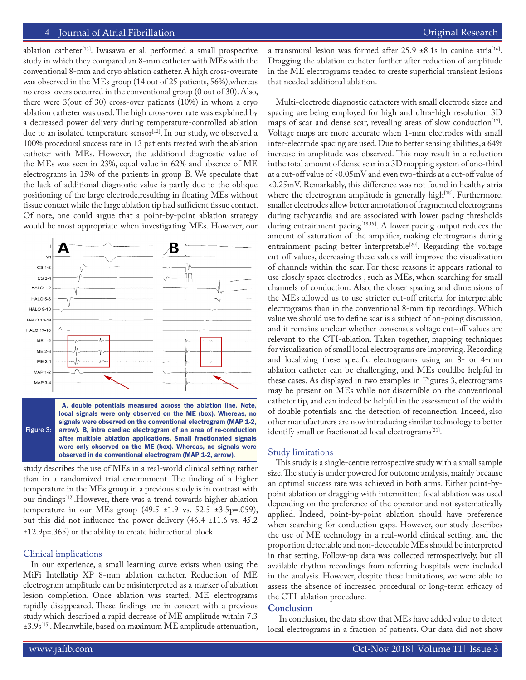# 4 Journal of Atrial Fibrillation **Community** Community Community Community Community Community Community Community

ablation catheter<sup>[13]</sup>. Iwasawa et al. performed a small prospective study in which they compared an 8-mm catheter with MEs with the conventional 8-mm and cryo ablation catheter. A high cross-overrate was observed in the MEs group (14 out of 25 patients, 56%),whereas no cross-overs occurred in the conventional group (0 out of 30). Also, there were 3(out of 30) cross-over patients (10%) in whom a cryo ablation catheter was used. The high cross-over rate was explained by a decreased power delivery during temperature-controlled ablation due to an isolated temperature sensor<sup>[12]</sup>. In our study, we observed a 100% procedural success rate in 13 patients treated with the ablation catheter with MEs. However, the additional diagnostic value of the MEs was seen in 23%, equal value in 62% and absence of ME electrograms in 15% of the patients in group B. We speculate that the lack of additional diagnostic value is partly due to the oblique positioning of the large electrode,resulting in floating MEs without tissue contact while the large ablation tip had sufficient tissue contact. Of note, one could argue that a point-by-point ablation strategy would be most appropriate when investigating MEs. However, our



Figure 3: local signals were only observed on the ME (box). Whereas, no signals were observed on the conventional electrogram (MAP 1-2, arrow). B, intra cardiac electrogram of an area of re-conduction after multiple ablation applications. Small fractionated signals were only observed on the ME (box). Whereas, no signals were observed in de conventional electrogram (MAP 1-2, arrow).

study describes the use of MEs in a real-world clinical setting rather than in a randomized trial environment. The finding of a higher temperature in the MEs group in a previous study is in contrast with our findings[12].However, there was a trend towards higher ablation temperature in our MEs group  $(49.5 \pm 1.9 \text{ vs. } 52.5 \pm 3.5 \text{ p} = .059)$ , but this did not influence the power delivery (46.4 ±11.6 vs. 45.2 ±12.9p=.365) or the ability to create bidirectional block.

### Clinical implications

In our experience, a small learning curve exists when using the MiFi Intellatip XP 8-mm ablation catheter. Reduction of ME electrogram amplitude can be misinterpreted as a marker of ablation lesion completion. Once ablation was started, ME electrograms rapidly disappeared. These findings are in concert with a previous study which described a rapid decrease of ME amplitude within 7.3 ±3.9s[15]. Meanwhile, based on maximum ME amplitude attenuation, a transmural lesion was formed after  $25.9 \pm 8.1$ s in canine atria<sup>[16]</sup>. Dragging the ablation catheter further after reduction of amplitude in the ME electrograms tended to create superficial transient lesions that needed additional ablation.

Multi-electrode diagnostic catheters with small electrode sizes and spacing are being employed for high and ultra-high resolution 3D maps of scar and dense scar, revealing areas of slow conduction<sup>[17]</sup>. Voltage maps are more accurate when 1-mm electrodes with small inter-electrode spacing are used. Due to better sensing abilities, a 64% increase in amplitude was observed. This may result in a reduction inthe total amount of dense scar in a 3D mapping system of one-third at a cut-off value of <0.05mV and even two-thirds at a cut-off value of <0.25mV. Remarkably, this difference was not found in healthy atria where the electrogram amplitude is generally high $[18]$ . Furthermore, smaller electrodes allow better annotation of fragmented electrograms during tachycardia and are associated with lower pacing thresholds during entrainment pacing<sup>[18,19]</sup>. A lower pacing output reduces the amount of saturation of the amplifier, making electrograms during entrainment pacing better interpretable<sup>[20]</sup>. Regarding the voltage cut-off values, decreasing these values will improve the visualization of channels within the scar. For these reasons it appears rational to use closely space electrodes , such as MEs, when searching for small channels of conduction. Also, the closer spacing and dimensions of the MEs allowed us to use stricter cut-off criteria for interpretable electrograms than in the conventional 8-mm tip recordings. Which value we should use to define scar is a subject of on-going discussion, and it remains unclear whether consensus voltage cut-off values are relevant to the CTI-ablation. Taken together, mapping techniques for visualization of small local electrograms are improving. Recording and localizing these specific electrograms using an 8- or 4-mm ablation catheter can be challenging, and MEs couldbe helpful in these cases. As displayed in two examples in Figures 3, electrograms may be present on MEs while not discernible on the conventional catheter tip, and can indeed be helpful in the assessment of the width of double potentials and the detection of reconnection. Indeed, also other manufacturers are now introducing similar technology to better identify small or fractionated local electrograms<sup>[21]</sup>.

#### Study limitations

 This study is a single-centre retrospective study with a small sample size. The study is under powered for outcome analysis, mainly because an optimal success rate was achieved in both arms. Either point-bypoint ablation or dragging with intermittent focal ablation was used depending on the preference of the operator and not systematically applied. Indeed, point-by-point ablation should have preference when searching for conduction gaps. However, our study describes the use of ME technology in a real-world clinical setting, and the proportion detectable and non-detectable MEs should be interpreted in that setting. Follow-up data was collected retrospectively, but all available rhythm recordings from referring hospitals were included in the analysis. However, despite these limitations, we were able to assess the absence of increased procedural or long-term efficacy of the CTI-ablation procedure.

# **Conclusion**

 In conclusion, the data show that MEs have added value to detect local electrograms in a fraction of patients. Our data did not show